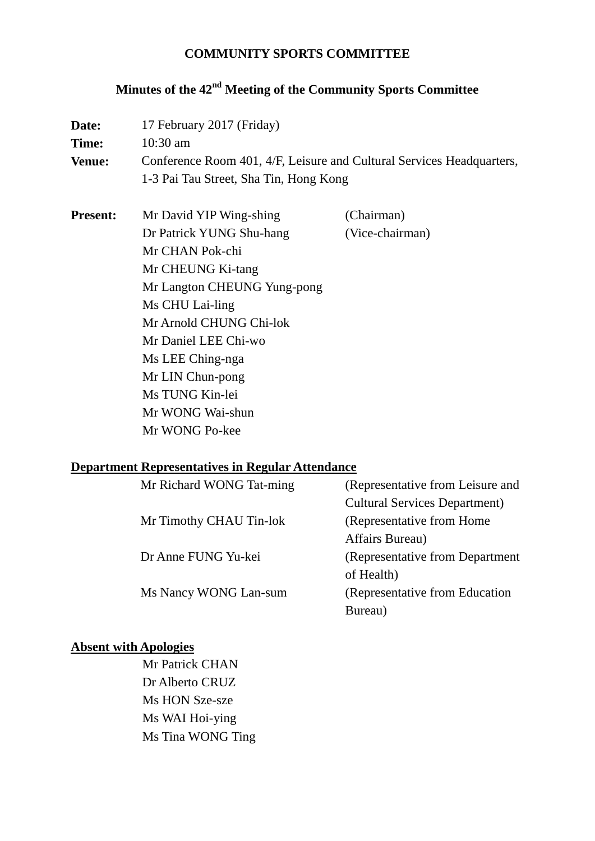#### **COMMUNITY SPORTS COMMITTEE**

# **Minutes of the 42nd Meeting of the Community Sports Committee**

| Date:           | 17 February 2017 (Friday)<br>$10:30$ am                                                                         |                 |  |
|-----------------|-----------------------------------------------------------------------------------------------------------------|-----------------|--|
| Time:           |                                                                                                                 |                 |  |
| <b>Venue:</b>   | Conference Room 401, 4/F, Leisure and Cultural Services Headquarters,<br>1-3 Pai Tau Street, Sha Tin, Hong Kong |                 |  |
|                 |                                                                                                                 |                 |  |
| <b>Present:</b> | Mr David YIP Wing-shing                                                                                         | (Chairman)      |  |
|                 | Dr Patrick YUNG Shu-hang                                                                                        | (Vice-chairman) |  |
|                 | Mr CHAN Pok-chi                                                                                                 |                 |  |
|                 | Mr CHEUNG Ki-tang                                                                                               |                 |  |
|                 | Mr Langton CHEUNG Yung-pong                                                                                     |                 |  |
|                 | Ms CHU Lai-ling                                                                                                 |                 |  |
|                 | Mr Arnold CHUNG Chi-lok                                                                                         |                 |  |
|                 | Mr Daniel LEE Chi-wo                                                                                            |                 |  |
|                 | Ms LEE Ching-nga                                                                                                |                 |  |
|                 | Mr LIN Chun-pong                                                                                                |                 |  |
|                 | Ms TUNG Kin-lei                                                                                                 |                 |  |
|                 | Mr WONG Wai-shun                                                                                                |                 |  |
|                 | Mr WONG Po-kee                                                                                                  |                 |  |

#### **Department Representatives in Regular Attendance**

| Mr Richard WONG Tat-ming | (Representative from Leisure and     |
|--------------------------|--------------------------------------|
|                          | <b>Cultural Services Department)</b> |
| Mr Timothy CHAU Tin-lok  | (Representative from Home)           |
|                          | Affairs Bureau)                      |
| Dr Anne FUNG Yu-kei      | (Representative from Department)     |
|                          | of Health)                           |
| Ms Nancy WONG Lan-sum    | (Representative from Education       |
|                          | Bureau)                              |

## **Absent with Apologies**

Mr Patrick CHAN Dr Alberto CRUZ Ms HON Sze-sze Ms WAI Hoi-ying Ms Tina WONG Ting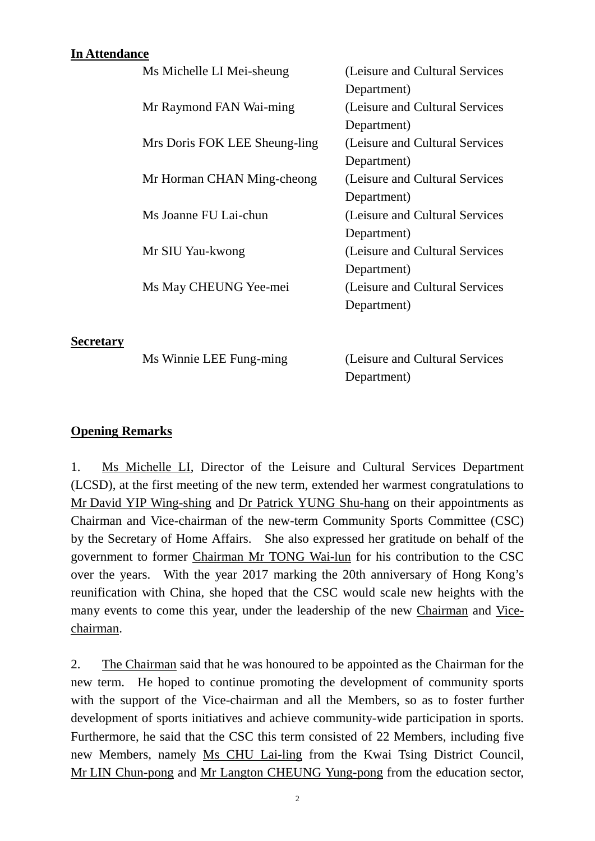## **In Attendance**

| Ms Michelle LI Mei-sheung     | (Leisure and Cultural Services  |
|-------------------------------|---------------------------------|
|                               | Department)                     |
| Mr Raymond FAN Wai-ming       | (Leisure and Cultural Services  |
|                               | Department)                     |
| Mrs Doris FOK LEE Sheung-ling | (Leisure and Cultural Services) |
|                               | Department)                     |
| Mr Horman CHAN Ming-cheong    | (Leisure and Cultural Services) |
|                               | Department)                     |
| Ms Joanne FU Lai-chun         | (Leisure and Cultural Services) |
|                               | Department)                     |
| Mr SIU Yau-kwong              | (Leisure and Cultural Services  |
|                               | Department)                     |
| Ms May CHEUNG Yee-mei         | (Leisure and Cultural Services) |
|                               | Department)                     |
|                               |                                 |
|                               |                                 |

Ms Winnie LEE Fung-ming (Leisure and Cultural Services Department)

## **Opening Remarks**

**Secretary**

1. Ms Michelle LI, Director of the Leisure and Cultural Services Department (LCSD), at the first meeting of the new term, extended her warmest congratulations to Mr David YIP Wing-shing and Dr Patrick YUNG Shu-hang on their appointments as Chairman and Vice-chairman of the new-term Community Sports Committee (CSC) by the Secretary of Home Affairs. She also expressed her gratitude on behalf of the government to former Chairman Mr TONG Wai-lun for his contribution to the CSC over the years. With the year 2017 marking the 20th anniversary of Hong Kong's reunification with China, she hoped that the CSC would scale new heights with the many events to come this year, under the leadership of the new Chairman and Vicechairman.

2. The Chairman said that he was honoured to be appointed as the Chairman for the new term. He hoped to continue promoting the development of community sports with the support of the Vice-chairman and all the Members, so as to foster further development of sports initiatives and achieve community-wide participation in sports. Furthermore, he said that the CSC this term consisted of 22 Members, including five new Members, namely Ms CHU Lai-ling from the Kwai Tsing District Council, Mr LIN Chun-pong and Mr Langton CHEUNG Yung-pong from the education sector,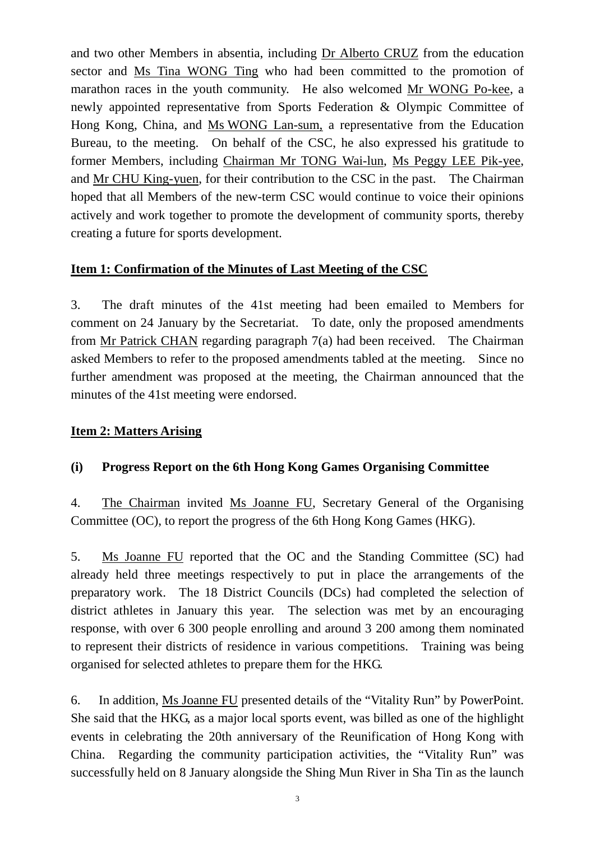and two other Members in absentia, including Dr Alberto CRUZ from the education sector and Ms Tina WONG Ting who had been committed to the promotion of marathon races in the youth community. He also welcomed Mr WONG Po-kee, a newly appointed representative from Sports Federation & Olympic Committee of Hong Kong, China, and Ms WONG Lan-sum, a representative from the Education Bureau, to the meeting. On behalf of the CSC, he also expressed his gratitude to former Members, including Chairman Mr TONG Wai-lun, Ms Peggy LEE Pik-yee, and Mr CHU King-yuen, for their contribution to the CSC in the past. The Chairman hoped that all Members of the new-term CSC would continue to voice their opinions actively and work together to promote the development of community sports, thereby creating a future for sports development.

### **Item 1: Confirmation of the Minutes of Last Meeting of the CSC**

3. The draft minutes of the 41st meeting had been emailed to Members for comment on 24 January by the Secretariat. To date, only the proposed amendments from Mr Patrick CHAN regarding paragraph 7(a) had been received. The Chairman asked Members to refer to the proposed amendments tabled at the meeting. Since no further amendment was proposed at the meeting, the Chairman announced that the minutes of the 41st meeting were endorsed.

#### **Item 2: Matters Arising**

## **(i) Progress Report on the 6th Hong Kong Games Organising Committee**

4. The Chairman invited Ms Joanne FU, Secretary General of the Organising Committee (OC), to report the progress of the 6th Hong Kong Games (HKG).

5. Ms Joanne FU reported that the OC and the Standing Committee (SC) had already held three meetings respectively to put in place the arrangements of the preparatory work. The 18 District Councils (DCs) had completed the selection of district athletes in January this year. The selection was met by an encouraging response, with over 6 300 people enrolling and around 3 200 among them nominated to represent their districts of residence in various competitions. Training was being organised for selected athletes to prepare them for the HKG.

6. In addition, Ms Joanne FU presented details of the "Vitality Run" by PowerPoint. She said that the HKG, as a major local sports event, was billed as one of the highlight events in celebrating the 20th anniversary of the Reunification of Hong Kong with China. Regarding the community participation activities, the "Vitality Run" was successfully held on 8 January alongside the Shing Mun River in Sha Tin as the launch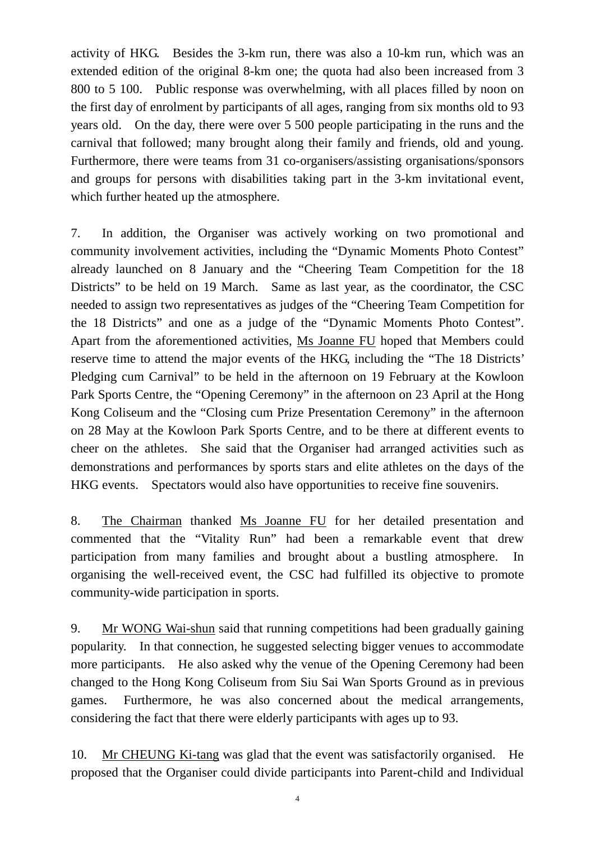activity of HKG. Besides the 3-km run, there was also a 10-km run, which was an extended edition of the original 8-km one; the quota had also been increased from 3 800 to 5 100. Public response was overwhelming, with all places filled by noon on the first day of enrolment by participants of all ages, ranging from six months old to 93 years old. On the day, there were over 5 500 people participating in the runs and the carnival that followed; many brought along their family and friends, old and young. Furthermore, there were teams from 31 co-organisers/assisting organisations/sponsors and groups for persons with disabilities taking part in the 3-km invitational event, which further heated up the atmosphere.

7. In addition, the Organiser was actively working on two promotional and community involvement activities, including the "Dynamic Moments Photo Contest" already launched on 8 January and the "Cheering Team Competition for the 18 Districts" to be held on 19 March. Same as last year, as the coordinator, the CSC needed to assign two representatives as judges of the "Cheering Team Competition for the 18 Districts" and one as a judge of the "Dynamic Moments Photo Contest". Apart from the aforementioned activities, Ms Joanne FU hoped that Members could reserve time to attend the major events of the HKG, including the "The 18 Districts' Pledging cum Carnival" to be held in the afternoon on 19 February at the Kowloon Park Sports Centre, the "Opening Ceremony" in the afternoon on 23 April at the Hong Kong Coliseum and the "Closing cum Prize Presentation Ceremony" in the afternoon on 28 May at the Kowloon Park Sports Centre, and to be there at different events to cheer on the athletes. She said that the Organiser had arranged activities such as demonstrations and performances by sports stars and elite athletes on the days of the HKG events. Spectators would also have opportunities to receive fine souvenirs.

8. The Chairman thanked Ms Joanne FU for her detailed presentation and commented that the "Vitality Run" had been a remarkable event that drew participation from many families and brought about a bustling atmosphere. In organising the well-received event, the CSC had fulfilled its objective to promote community-wide participation in sports.

9. Mr WONG Wai-shun said that running competitions had been gradually gaining popularity. In that connection, he suggested selecting bigger venues to accommodate more participants. He also asked why the venue of the Opening Ceremony had been changed to the Hong Kong Coliseum from Siu Sai Wan Sports Ground as in previous games. Furthermore, he was also concerned about the medical arrangements, considering the fact that there were elderly participants with ages up to 93.

10. Mr CHEUNG Ki-tang was glad that the event was satisfactorily organised. He proposed that the Organiser could divide participants into Parent-child and Individual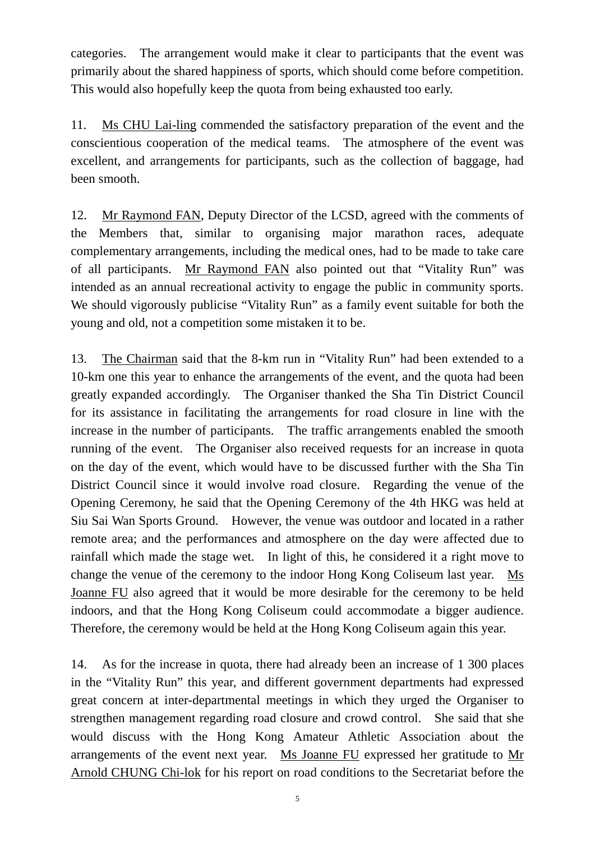categories. The arrangement would make it clear to participants that the event was primarily about the shared happiness of sports, which should come before competition. This would also hopefully keep the quota from being exhausted too early.

11. Ms CHU Lai-ling commended the satisfactory preparation of the event and the conscientious cooperation of the medical teams. The atmosphere of the event was excellent, and arrangements for participants, such as the collection of baggage, had been smooth.

12. Mr Raymond FAN, Deputy Director of the LCSD, agreed with the comments of the Members that, similar to organising major marathon races, adequate complementary arrangements, including the medical ones, had to be made to take care of all participants. Mr Raymond FAN also pointed out that "Vitality Run" was intended as an annual recreational activity to engage the public in community sports. We should vigorously publicise "Vitality Run" as a family event suitable for both the young and old, not a competition some mistaken it to be.

13. The Chairman said that the 8-km run in "Vitality Run" had been extended to a 10-km one this year to enhance the arrangements of the event, and the quota had been greatly expanded accordingly. The Organiser thanked the Sha Tin District Council for its assistance in facilitating the arrangements for road closure in line with the increase in the number of participants. The traffic arrangements enabled the smooth running of the event. The Organiser also received requests for an increase in quota on the day of the event, which would have to be discussed further with the Sha Tin District Council since it would involve road closure. Regarding the venue of the Opening Ceremony, he said that the Opening Ceremony of the 4th HKG was held at Siu Sai Wan Sports Ground. However, the venue was outdoor and located in a rather remote area; and the performances and atmosphere on the day were affected due to rainfall which made the stage wet. In light of this, he considered it a right move to change the venue of the ceremony to the indoor Hong Kong Coliseum last year. Ms Joanne FU also agreed that it would be more desirable for the ceremony to be held indoors, and that the Hong Kong Coliseum could accommodate a bigger audience. Therefore, the ceremony would be held at the Hong Kong Coliseum again this year.

14. As for the increase in quota, there had already been an increase of 1 300 places in the "Vitality Run" this year, and different government departments had expressed great concern at inter-departmental meetings in which they urged the Organiser to strengthen management regarding road closure and crowd control. She said that she would discuss with the Hong Kong Amateur Athletic Association about the arrangements of the event next year. Ms Joanne FU expressed her gratitude to Mr Arnold CHUNG Chi-lok for his report on road conditions to the Secretariat before the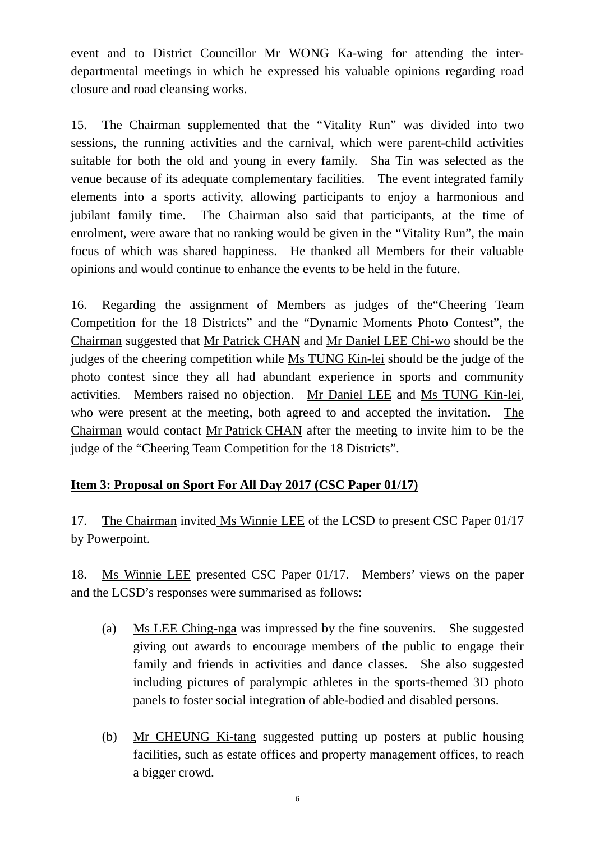event and to District Councillor Mr WONG Ka-wing for attending the interdepartmental meetings in which he expressed his valuable opinions regarding road closure and road cleansing works.

15. The Chairman supplemented that the "Vitality Run" was divided into two sessions, the running activities and the carnival, which were parent-child activities suitable for both the old and young in every family. Sha Tin was selected as the venue because of its adequate complementary facilities. The event integrated family elements into a sports activity, allowing participants to enjoy a harmonious and jubilant family time. The Chairman also said that participants, at the time of enrolment, were aware that no ranking would be given in the "Vitality Run", the main focus of which was shared happiness. He thanked all Members for their valuable opinions and would continue to enhance the events to be held in the future.

16. Regarding the assignment of Members as judges of the"Cheering Team Competition for the 18 Districts" and the "Dynamic Moments Photo Contest", the Chairman suggested that Mr Patrick CHAN and Mr Daniel LEE Chi-wo should be the judges of the cheering competition while Ms TUNG Kin-lei should be the judge of the photo contest since they all had abundant experience in sports and community activities. Members raised no objection. Mr Daniel LEE and Ms TUNG Kin-lei, who were present at the meeting, both agreed to and accepted the invitation. The Chairman would contact Mr Patrick CHAN after the meeting to invite him to be the judge of the "Cheering Team Competition for the 18 Districts".

## **Item 3: Proposal on Sport For All Day 2017 (CSC Paper 01/17)**

17. The Chairman invited Ms Winnie LEE of the LCSD to present CSC Paper 01/17 by Powerpoint.

18. Ms Winnie LEE presented CSC Paper 01/17. Members' views on the paper and the LCSD's responses were summarised as follows:

- (a) Ms LEE Ching-nga was impressed by the fine souvenirs. She suggested giving out awards to encourage members of the public to engage their family and friends in activities and dance classes. She also suggested including pictures of paralympic athletes in the sports-themed 3D photo panels to foster social integration of able-bodied and disabled persons.
- (b) Mr CHEUNG Ki-tang suggested putting up posters at public housing facilities, such as estate offices and property management offices, to reach a bigger crowd.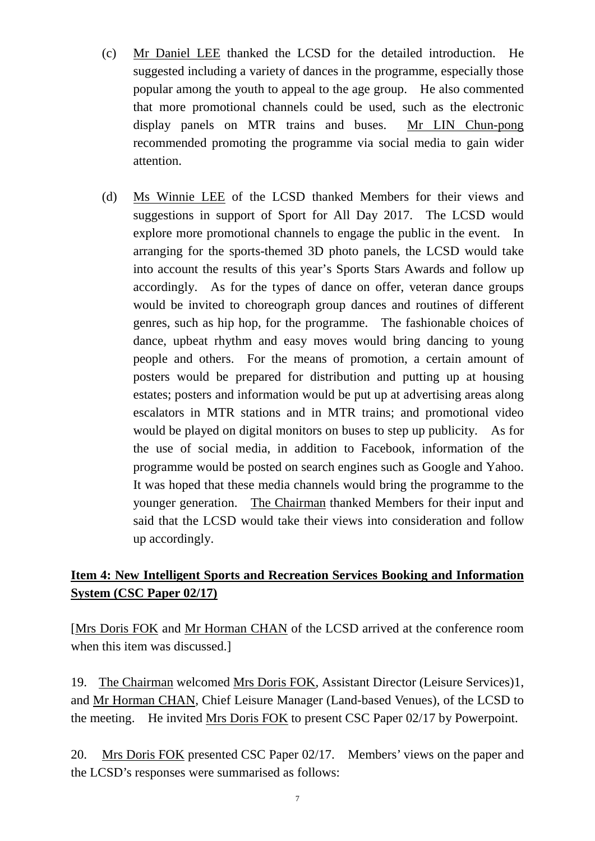- (c) Mr Daniel LEE thanked the LCSD for the detailed introduction. He suggested including a variety of dances in the programme, especially those popular among the youth to appeal to the age group. He also commented that more promotional channels could be used, such as the electronic display panels on MTR trains and buses. Mr LIN Chun-pong recommended promoting the programme via social media to gain wider attention.
- (d) Ms Winnie LEE of the LCSD thanked Members for their views and suggestions in support of Sport for All Day 2017. The LCSD would explore more promotional channels to engage the public in the event. In arranging for the sports-themed 3D photo panels, the LCSD would take into account the results of this year's Sports Stars Awards and follow up accordingly. As for the types of dance on offer, veteran dance groups would be invited to choreograph group dances and routines of different genres, such as hip hop, for the programme. The fashionable choices of dance, upbeat rhythm and easy moves would bring dancing to young people and others. For the means of promotion, a certain amount of posters would be prepared for distribution and putting up at housing estates; posters and information would be put up at advertising areas along escalators in MTR stations and in MTR trains; and promotional video would be played on digital monitors on buses to step up publicity. As for the use of social media, in addition to Facebook, information of the programme would be posted on search engines such as Google and Yahoo. It was hoped that these media channels would bring the programme to the younger generation. The Chairman thanked Members for their input and said that the LCSD would take their views into consideration and follow up accordingly.

## **Item 4: New Intelligent Sports and Recreation Services Booking and Information System (CSC Paper 02/17)**

[Mrs Doris FOK and Mr Horman CHAN of the LCSD arrived at the conference room when this item was discussed.

19. The Chairman welcomed Mrs Doris FOK, Assistant Director (Leisure Services)1, and Mr Horman CHAN, Chief Leisure Manager (Land-based Venues), of the LCSD to the meeting. He invited Mrs Doris FOK to present CSC Paper 02/17 by Powerpoint.

20. Mrs Doris FOK presented CSC Paper 02/17. Members' views on the paper and the LCSD's responses were summarised as follows: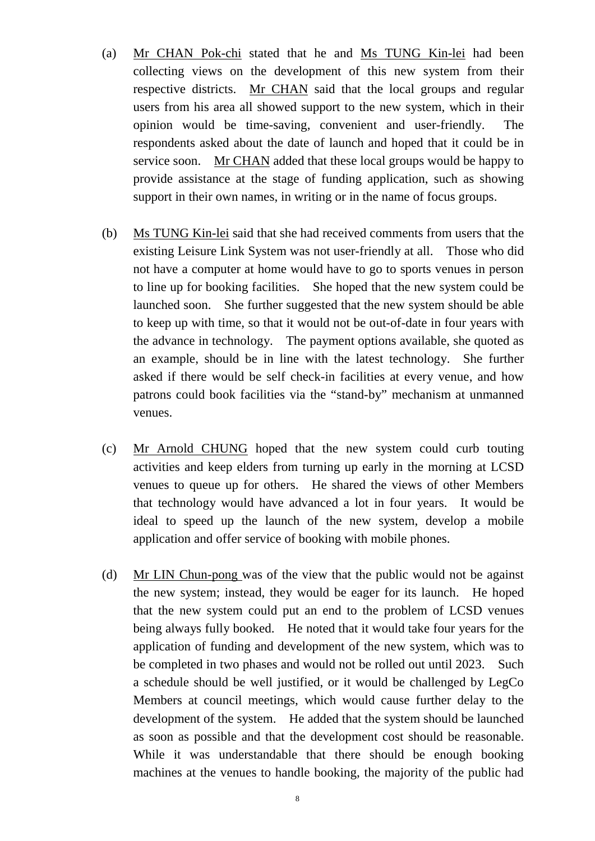- (a) Mr CHAN Pok-chi stated that he and Ms TUNG Kin-lei had been collecting views on the development of this new system from their respective districts. Mr CHAN said that the local groups and regular users from his area all showed support to the new system, which in their opinion would be time-saving, convenient and user-friendly. The respondents asked about the date of launch and hoped that it could be in service soon. Mr CHAN added that these local groups would be happy to provide assistance at the stage of funding application, such as showing support in their own names, in writing or in the name of focus groups.
- (b) Ms TUNG Kin-lei said that she had received comments from users that the existing Leisure Link System was not user-friendly at all. Those who did not have a computer at home would have to go to sports venues in person to line up for booking facilities. She hoped that the new system could be launched soon. She further suggested that the new system should be able to keep up with time, so that it would not be out-of-date in four years with the advance in technology. The payment options available, she quoted as an example, should be in line with the latest technology. She further asked if there would be self check-in facilities at every venue, and how patrons could book facilities via the "stand-by" mechanism at unmanned venues.
- (c) Mr Arnold CHUNG hoped that the new system could curb touting activities and keep elders from turning up early in the morning at LCSD venues to queue up for others. He shared the views of other Members that technology would have advanced a lot in four years. It would be ideal to speed up the launch of the new system, develop a mobile application and offer service of booking with mobile phones.
- (d) Mr LIN Chun-pong was of the view that the public would not be against the new system; instead, they would be eager for its launch. He hoped that the new system could put an end to the problem of LCSD venues being always fully booked. He noted that it would take four years for the application of funding and development of the new system, which was to be completed in two phases and would not be rolled out until 2023. Such a schedule should be well justified, or it would be challenged by LegCo Members at council meetings, which would cause further delay to the development of the system. He added that the system should be launched as soon as possible and that the development cost should be reasonable. While it was understandable that there should be enough booking machines at the venues to handle booking, the majority of the public had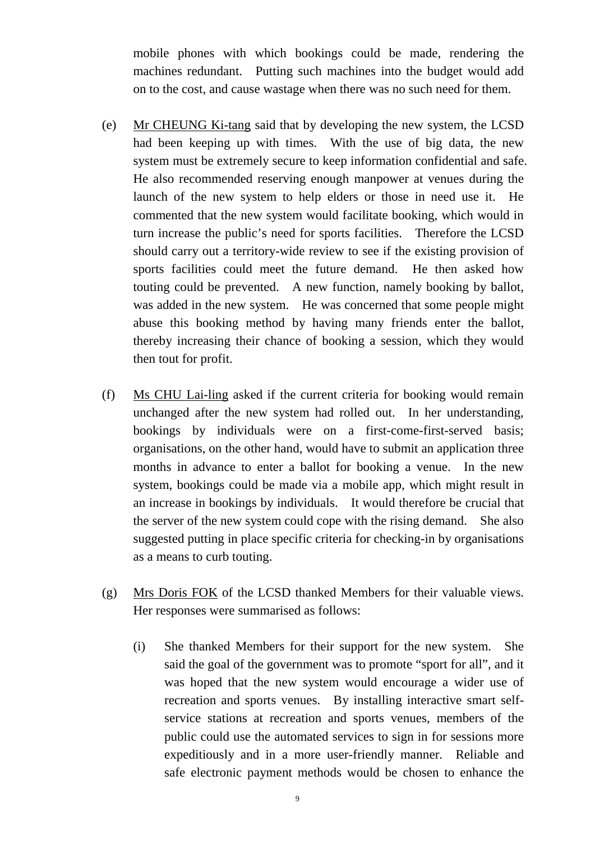mobile phones with which bookings could be made, rendering the machines redundant. Putting such machines into the budget would add on to the cost, and cause wastage when there was no such need for them.

- (e) Mr CHEUNG Ki-tang said that by developing the new system, the LCSD had been keeping up with times. With the use of big data, the new system must be extremely secure to keep information confidential and safe. He also recommended reserving enough manpower at venues during the launch of the new system to help elders or those in need use it. He commented that the new system would facilitate booking, which would in turn increase the public's need for sports facilities. Therefore the LCSD should carry out a territory-wide review to see if the existing provision of sports facilities could meet the future demand. He then asked how touting could be prevented. A new function, namely booking by ballot, was added in the new system. He was concerned that some people might abuse this booking method by having many friends enter the ballot, thereby increasing their chance of booking a session, which they would then tout for profit.
- (f) Ms CHU Lai-ling asked if the current criteria for booking would remain unchanged after the new system had rolled out. In her understanding, bookings by individuals were on a first-come-first-served basis; organisations, on the other hand, would have to submit an application three months in advance to enter a ballot for booking a venue. In the new system, bookings could be made via a mobile app, which might result in an increase in bookings by individuals. It would therefore be crucial that the server of the new system could cope with the rising demand. She also suggested putting in place specific criteria for checking-in by organisations as a means to curb touting.
- (g) Mrs Doris FOK of the LCSD thanked Members for their valuable views. Her responses were summarised as follows:
	- (i) She thanked Members for their support for the new system. She said the goal of the government was to promote "sport for all", and it was hoped that the new system would encourage a wider use of recreation and sports venues. By installing interactive smart selfservice stations at recreation and sports venues, members of the public could use the automated services to sign in for sessions more expeditiously and in a more user-friendly manner. Reliable and safe electronic payment methods would be chosen to enhance the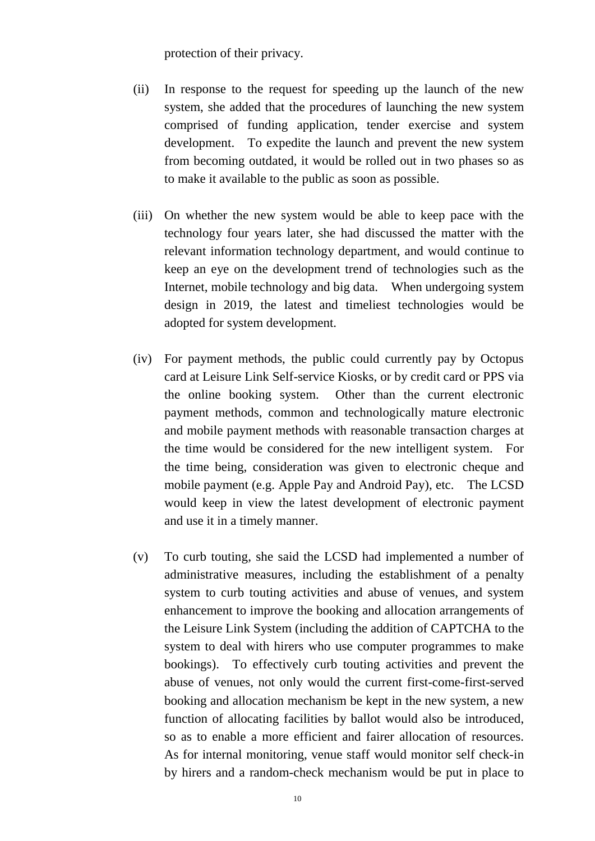protection of their privacy.

- (ii) In response to the request for speeding up the launch of the new system, she added that the procedures of launching the new system comprised of funding application, tender exercise and system development. To expedite the launch and prevent the new system from becoming outdated, it would be rolled out in two phases so as to make it available to the public as soon as possible.
- (iii) On whether the new system would be able to keep pace with the technology four years later, she had discussed the matter with the relevant information technology department, and would continue to keep an eye on the development trend of technologies such as the Internet, mobile technology and big data. When undergoing system design in 2019, the latest and timeliest technologies would be adopted for system development.
- (iv) For payment methods, the public could currently pay by Octopus card at Leisure Link Self-service Kiosks, or by credit card or PPS via the online booking system. Other than the current electronic payment methods, common and technologically mature electronic and mobile payment methods with reasonable transaction charges at the time would be considered for the new intelligent system. For the time being, consideration was given to electronic cheque and mobile payment (e.g. Apple Pay and Android Pay), etc. The LCSD would keep in view the latest development of electronic payment and use it in a timely manner.
- (v) To curb touting, she said the LCSD had implemented a number of administrative measures, including the establishment of a penalty system to curb touting activities and abuse of venues, and system enhancement to improve the booking and allocation arrangements of the Leisure Link System (including the addition of CAPTCHA to the system to deal with hirers who use computer programmes to make bookings). To effectively curb touting activities and prevent the abuse of venues, not only would the current first-come-first-served booking and allocation mechanism be kept in the new system, a new function of allocating facilities by ballot would also be introduced, so as to enable a more efficient and fairer allocation of resources. As for internal monitoring, venue staff would monitor self check-in by hirers and a random-check mechanism would be put in place to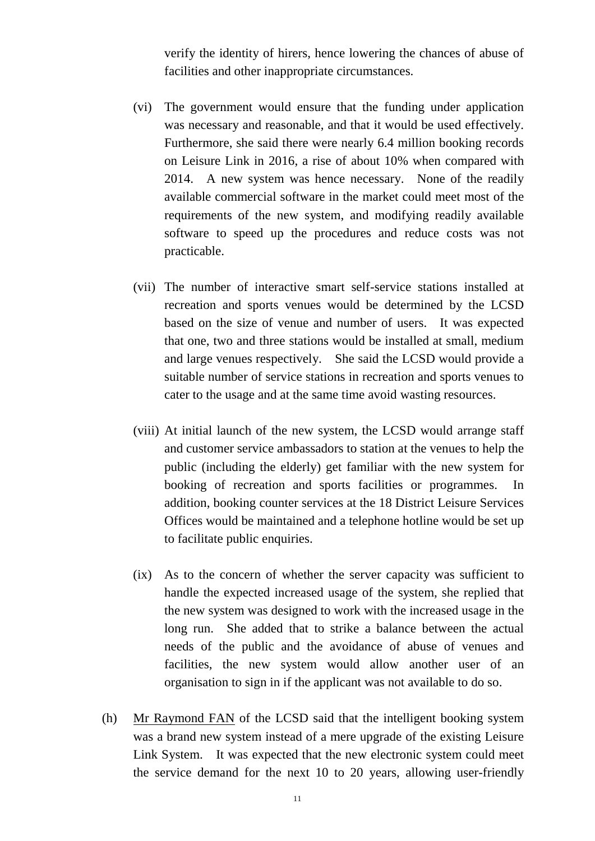verify the identity of hirers, hence lowering the chances of abuse of facilities and other inappropriate circumstances.

- (vi) The government would ensure that the funding under application was necessary and reasonable, and that it would be used effectively. Furthermore, she said there were nearly 6.4 million booking records on Leisure Link in 2016, a rise of about 10% when compared with 2014. A new system was hence necessary. None of the readily available commercial software in the market could meet most of the requirements of the new system, and modifying readily available software to speed up the procedures and reduce costs was not practicable.
- (vii) The number of interactive smart self-service stations installed at recreation and sports venues would be determined by the LCSD based on the size of venue and number of users. It was expected that one, two and three stations would be installed at small, medium and large venues respectively. She said the LCSD would provide a suitable number of service stations in recreation and sports venues to cater to the usage and at the same time avoid wasting resources.
- (viii) At initial launch of the new system, the LCSD would arrange staff and customer service ambassadors to station at the venues to help the public (including the elderly) get familiar with the new system for booking of recreation and sports facilities or programmes. addition, booking counter services at the 18 District Leisure Services Offices would be maintained and a telephone hotline would be set up to facilitate public enquiries.
- (ix) As to the concern of whether the server capacity was sufficient to handle the expected increased usage of the system, she replied that the new system was designed to work with the increased usage in the long run. She added that to strike a balance between the actual needs of the public and the avoidance of abuse of venues and facilities, the new system would allow another user of an organisation to sign in if the applicant was not available to do so.
- (h) Mr Raymond FAN of the LCSD said that the intelligent booking system was a brand new system instead of a mere upgrade of the existing Leisure Link System. It was expected that the new electronic system could meet the service demand for the next 10 to 20 years, allowing user-friendly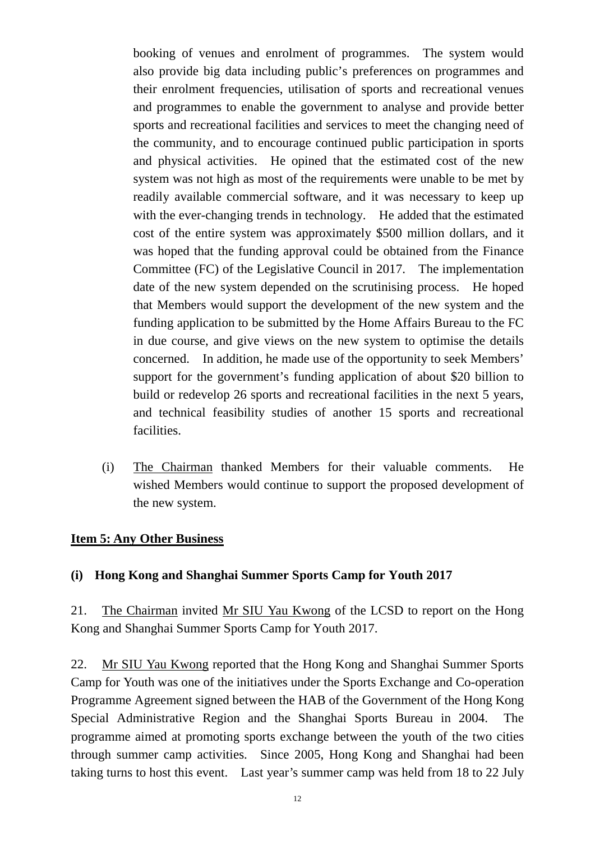booking of venues and enrolment of programmes. The system would also provide big data including public's preferences on programmes and their enrolment frequencies, utilisation of sports and recreational venues and programmes to enable the government to analyse and provide better sports and recreational facilities and services to meet the changing need of the community, and to encourage continued public participation in sports and physical activities. He opined that the estimated cost of the new system was not high as most of the requirements were unable to be met by readily available commercial software, and it was necessary to keep up with the ever-changing trends in technology. He added that the estimated cost of the entire system was approximately \$500 million dollars, and it was hoped that the funding approval could be obtained from the Finance Committee (FC) of the Legislative Council in 2017. The implementation date of the new system depended on the scrutinising process. He hoped that Members would support the development of the new system and the funding application to be submitted by the Home Affairs Bureau to the FC in due course, and give views on the new system to optimise the details concerned. In addition, he made use of the opportunity to seek Members' support for the government's funding application of about \$20 billion to build or redevelop 26 sports and recreational facilities in the next 5 years, and technical feasibility studies of another 15 sports and recreational facilities.

(i) The Chairman thanked Members for their valuable comments. He wished Members would continue to support the proposed development of the new system.

#### **Item 5: Any Other Business**

#### **(i) Hong Kong and Shanghai Summer Sports Camp for Youth 2017**

21. The Chairman invited Mr SIU Yau Kwong of the LCSD to report on the Hong Kong and Shanghai Summer Sports Camp for Youth 2017.

22. Mr SIU Yau Kwong reported that the Hong Kong and Shanghai Summer Sports Camp for Youth was one of the initiatives under the Sports Exchange and Co-operation Programme Agreement signed between the HAB of the Government of the Hong Kong Special Administrative Region and the Shanghai Sports Bureau in 2004. The programme aimed at promoting sports exchange between the youth of the two cities through summer camp activities. Since 2005, Hong Kong and Shanghai had been taking turns to host this event. Last year's summer camp was held from 18 to 22 July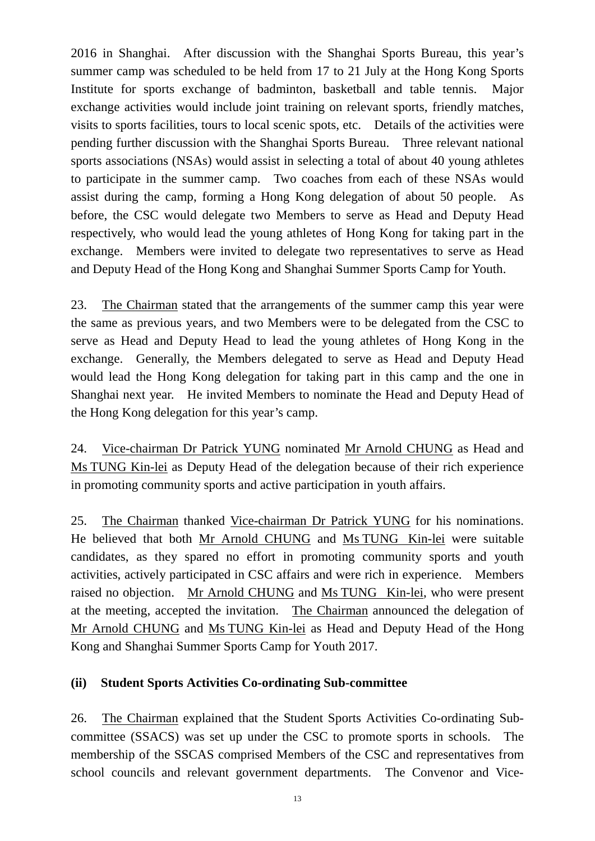2016 in Shanghai. After discussion with the Shanghai Sports Bureau, this year's summer camp was scheduled to be held from 17 to 21 July at the Hong Kong Sports Institute for sports exchange of badminton, basketball and table tennis. Major exchange activities would include joint training on relevant sports, friendly matches, visits to sports facilities, tours to local scenic spots, etc. Details of the activities were pending further discussion with the Shanghai Sports Bureau. Three relevant national sports associations (NSAs) would assist in selecting a total of about 40 young athletes to participate in the summer camp. Two coaches from each of these NSAs would assist during the camp, forming a Hong Kong delegation of about 50 people. As before, the CSC would delegate two Members to serve as Head and Deputy Head respectively, who would lead the young athletes of Hong Kong for taking part in the exchange. Members were invited to delegate two representatives to serve as Head and Deputy Head of the Hong Kong and Shanghai Summer Sports Camp for Youth.

23. The Chairman stated that the arrangements of the summer camp this year were the same as previous years, and two Members were to be delegated from the CSC to serve as Head and Deputy Head to lead the young athletes of Hong Kong in the exchange. Generally, the Members delegated to serve as Head and Deputy Head would lead the Hong Kong delegation for taking part in this camp and the one in Shanghai next year. He invited Members to nominate the Head and Deputy Head of the Hong Kong delegation for this year's camp.

24. Vice-chairman Dr Patrick YUNG nominated Mr Arnold CHUNG as Head and Ms TUNG Kin-lei as Deputy Head of the delegation because of their rich experience in promoting community sports and active participation in youth affairs.

25. The Chairman thanked Vice-chairman Dr Patrick YUNG for his nominations. He believed that both Mr Arnold CHUNG and Ms TUNG Kin-lei were suitable candidates, as they spared no effort in promoting community sports and youth activities, actively participated in CSC affairs and were rich in experience. Members raised no objection. Mr Arnold CHUNG and Ms TUNG Kin-lei, who were present at the meeting, accepted the invitation. The Chairman announced the delegation of Mr Arnold CHUNG and Ms TUNG Kin-lei as Head and Deputy Head of the Hong Kong and Shanghai Summer Sports Camp for Youth 2017.

### **(ii) Student Sports Activities Co-ordinating Sub-committee**

26. The Chairman explained that the Student Sports Activities Co-ordinating Subcommittee (SSACS) was set up under the CSC to promote sports in schools. The membership of the SSCAS comprised Members of the CSC and representatives from school councils and relevant government departments. The Convenor and Vice